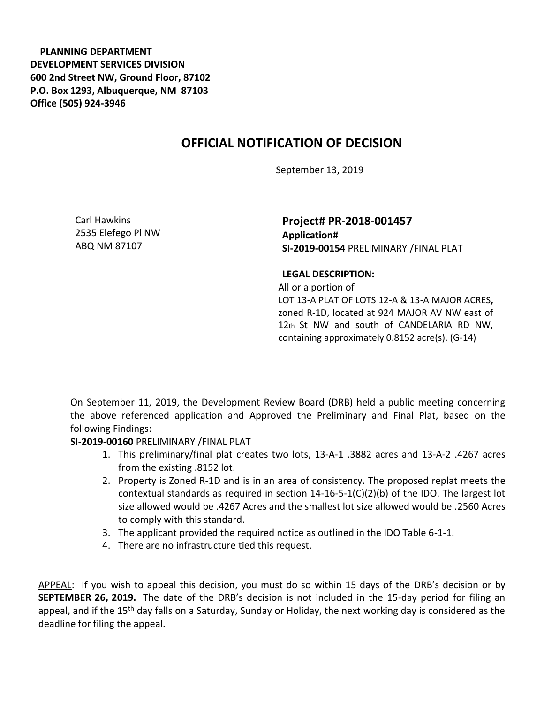**PLANNING DEPARTMENT DEVELOPMENT SERVICES DIVISION 600 2nd Street NW, Ground Floor, 87102 P.O. Box 1293, Albuquerque, NM 87103 Office (505) 924-3946** 

## **OFFICIAL NOTIFICATION OF DECISION**

September 13, 2019

Carl Hawkins 2535 Elefego Pl NW ABQ NM 87107

**Project# PR-2018-001457 Application# SI-2019-00154** PRELIMINARY /FINAL PLAT

## **LEGAL DESCRIPTION:**

All or a portion of LOT 13-A PLAT OF LOTS 12-A & 13-A MAJOR ACRES**,**  zoned R-1D, located at 924 MAJOR AV NW east of 12th St NW and south of CANDELARIA RD NW, containing approximately 0.8152 acre(s). (G-14)

On September 11, 2019, the Development Review Board (DRB) held a public meeting concerning the above referenced application and Approved the Preliminary and Final Plat, based on the following Findings:

**SI-2019-00160** PRELIMINARY /FINAL PLAT

- 1. This preliminary/final plat creates two lots, 13-A-1 .3882 acres and 13-A-2 .4267 acres from the existing .8152 lot.
- 2. Property is Zoned R-1D and is in an area of consistency. The proposed replat meets the contextual standards as required in section 14-16-5-1(C)(2)(b) of the IDO. The largest lot size allowed would be .4267 Acres and the smallest lot size allowed would be .2560 Acres to comply with this standard.
- 3. The applicant provided the required notice as outlined in the IDO Table 6-1-1.
- 4. There are no infrastructure tied this request.

APPEAL: If you wish to appeal this decision, you must do so within 15 days of the DRB's decision or by **SEPTEMBER 26, 2019.** The date of the DRB's decision is not included in the 15-day period for filing an appeal, and if the 15<sup>th</sup> day falls on a Saturday, Sunday or Holiday, the next working day is considered as the deadline for filing the appeal.